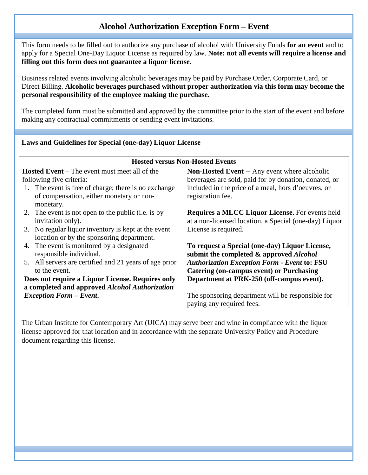## **Alcohol Authorization Exception Form – Event**

This form needs to be filled out to authorize any purchase of alcohol with University Funds **for an event** and to apply for a Special One-Day Liquor License as required by law. **Note: not all events will require a license and filling out this form does not guarantee a liquor license.**

Business related events involving alcoholic beverages may be paid by Purchase Order, Corporate Card, or Direct Billing. **Alcoholic beverages purchased without proper authorization via this form may become the personal responsibility of the employee making the purchase.**

The completed form must be submitted and approved by the committee prior to the start of the event and before making any contractual commitments or sending event invitations.

| <b>Hosted versus Non-Hosted Events</b>                 |                                                        |  |
|--------------------------------------------------------|--------------------------------------------------------|--|
| <b>Hosted Event</b> – The event must meet all of the   | <b>Non-Hosted Event -- Any event where alcoholic</b>   |  |
| following five criteria:                               | beverages are sold, paid for by donation, donated, or  |  |
| 1. The event is free of charge; there is no exchange   | included in the price of a meal, hors d'oeuvres, or    |  |
| of compensation, either monetary or non-               | registration fee.                                      |  |
| monetary.                                              |                                                        |  |
| 2. The event is not open to the public (i.e. is by     | <b>Requires a MLCC Liquor License.</b> For events held |  |
| invitation only).                                      | at a non-licensed location, a Special (one-day) Liquor |  |
| 3. No regular liquor inventory is kept at the event    | License is required.                                   |  |
| location or by the sponsoring department.              |                                                        |  |
| 4. The event is monitored by a designated              | To request a Special (one-day) Liquor License,         |  |
| responsible individual.                                | submit the completed & approved <i>Alcohol</i>         |  |
| 5. All servers are certified and 21 years of age prior | <b>Authorization Exception Form - Event to: FSU</b>    |  |
| to the event.                                          | <b>Catering (on-campus event) or Purchasing</b>        |  |
| Does not require a Liquor License. Requires only       | Department at PRK-250 (off-campus event).              |  |
| a completed and approved Alcohol Authorization         |                                                        |  |
| <b>Exception Form - Event.</b>                         | The sponsoring department will be responsible for      |  |
|                                                        | paying any required fees.                              |  |

The Urban Institute for Contemporary Art (UICA) may serve beer and wine in compliance with the liquor license approved for that location and in accordance with the separate University Policy and Procedure document regarding this license.

## **Laws and Guidelines for Special (one-day) Liquor License**